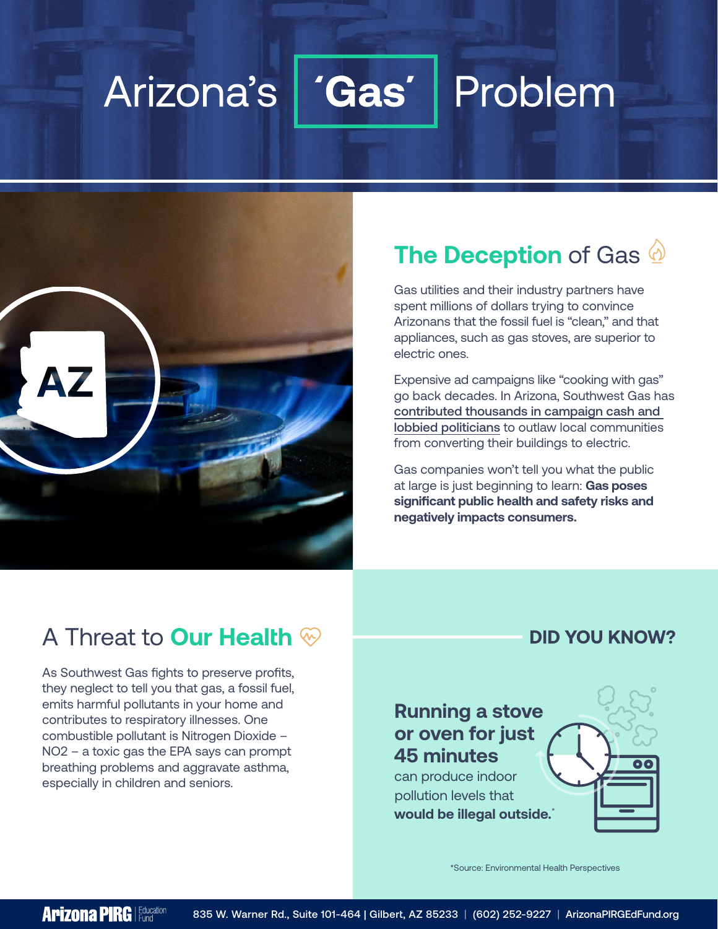#### Arizona's **Gas** Problem



# **The Deception** of Gas

Gas utilities and their industry partners have spent millions of dollars trying to convince Arizonans that the fossil fuel is "clean," and that appliances, such as gas stoves, are superior to electric ones.

Expensive ad campaigns like "cooking with gas" go back decades. In Arizona, Southwest Gas has [contributed thousands in campaign cash and](https://www.energyandpolicy.org/southwest-gas-was-top-contributor-to-arizona-legislators-sponsoring-gas-utility-bill/)  [lobbied politicians](https://www.energyandpolicy.org/southwest-gas-was-top-contributor-to-arizona-legislators-sponsoring-gas-utility-bill/) to outlaw local communities from converting their buildings to electric.

Gas companies won't tell you what the public at large is just beginning to learn: **Gas poses significant public health and safety risks and negatively impacts consumers.**

## A Threat to **Our Health**

As Southwest Gas fights to preserve profits, they neglect to tell you that gas, a fossil fuel, emits harmful pollutants in your home and contributes to respiratory illnesses. One combustible pollutant is Nitrogen Dioxide – NO2 – a toxic gas the EPA says can prompt breathing problems and aggravate asthma, especially in children and seniors.

#### **DID YOU KNOW?**

## **Running a stove or oven for just 45 minutes**

can produce indoor pollution levels that **would be illegal outside.**\*



\*Source: Environmental Health Perspectives